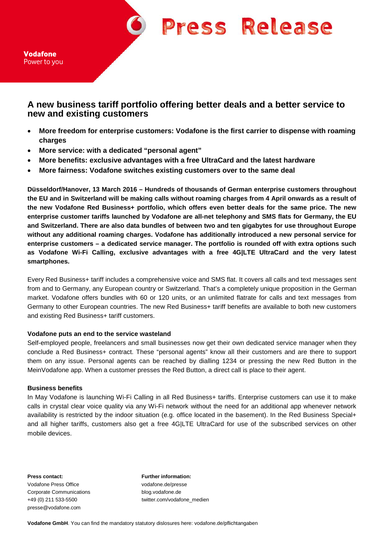**Press Release** 

Vodafone Power to you

# **A new business tariff portfolio offering better deals and a better service to new and existing customers**

- **More freedom for enterprise customers: Vodafone is the first carrier to dispense with roaming charges**
- **More service: with a dedicated "personal agent"**
- **More benefits: exclusive advantages with a free UltraCard and the latest hardware**
- **More fairness: Vodafone switches existing customers over to the same deal**

**Düsseldorf/Hanover, 13 March 2016 – Hundreds of thousands of German enterprise customers throughout the EU and in Switzerland will be making calls without roaming charges from 4 April onwards as a result of the new Vodafone Red Business+ portfolio, which offers even better deals for the same price. The new enterprise customer tariffs launched by Vodafone are all-net telephony and SMS flats for Germany, the EU and Switzerland. There are also data bundles of between two and ten gigabytes for use throughout Europe without any additional roaming charges. Vodafone has additionally introduced a new personal service for enterprise customers – a dedicated service manager. The portfolio is rounded off with extra options such as Vodafone Wi-Fi Calling, exclusive advantages with a free 4G|LTE UltraCard and the very latest smartphones.**

Every Red Business+ tariff includes a comprehensive voice and SMS flat. It covers all calls and text messages sent from and to Germany, any European country or Switzerland. That's a completely unique proposition in the German market. Vodafone offers bundles with 60 or 120 units, or an unlimited flatrate for calls and text messages from Germany to other European countries. The new Red Business+ tariff benefits are available to both new customers and existing Red Business+ tariff customers.

### **Vodafone puts an end to the service wasteland**

Self-employed people, freelancers and small businesses now get their own dedicated service manager when they conclude a Red Business+ contract. These "personal agents" know all their customers and are there to support them on any issue. Personal agents can be reached by dialling 1234 or pressing the new Red Button in the MeinVodafone app. When a customer presses the Red Button, a direct call is place to their agent.

### **Business benefits**

In May Vodafone is launching Wi-Fi Calling in all Red Business+ tariffs. Enterprise customers can use it to make calls in crystal clear voice quality via any Wi-Fi network without the need for an additional app whenever network availability is restricted by the indoor situation (e.g. office located in the basement). In the Red Business Special+ and all higher tariffs, customers also get a free 4G|LTE UltraCard for use of the subscribed services on other mobile devices.

**Press contact: Further information:** Vodafone Press Office vodafone.de/presse Corporate Communications blog.vodafone.de presse@vodafone.com

+49 (0) 211 533-5500 twitter.com/vodafone\_medien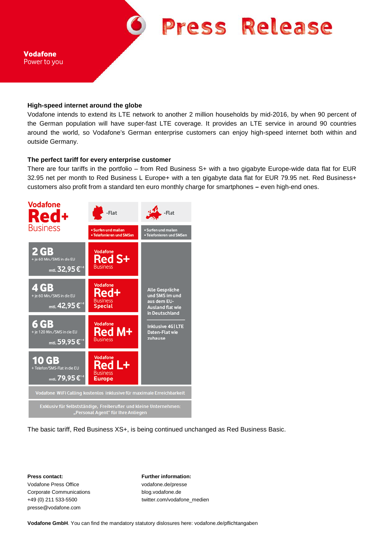

#### **High-speed internet around the globe**

Vodafone intends to extend its LTE network to another 2 million households by mid-2016, by when 90 percent of the German population will have super-fast LTE coverage. It provides an LTE service in around 90 countries around the world, so Vodafone's German enterprise customers can enjoy high-speed internet both within and outside Germany.

#### **The perfect tariff for every enterprise customer**

There are four tariffs in the portfolio – from Red Business S+ with a two gigabyte Europe-wide data flat for EUR 32.95 net per month to Red Business L Europe+ with a ten gigabyte data flat for EUR 79.95 net. Red Business+ customers also profit from a standard ten euro monthly charge for smartphones **–** even high-end ones.



The basic tariff, Red Business XS+, is being continued unchanged as Red Business Basic.

Vodafone Press Office vodafone.de/presse Corporate Communications blog.vodafone.de presse@vodafone.com

**Press contact: Further information:** +49 (0) 211 533-5500 twitter.com/vodafone\_medien

**Vodafone GmbH**. You can find the mandatory statutory dislosures here: vodafone.de/pflichtangaben